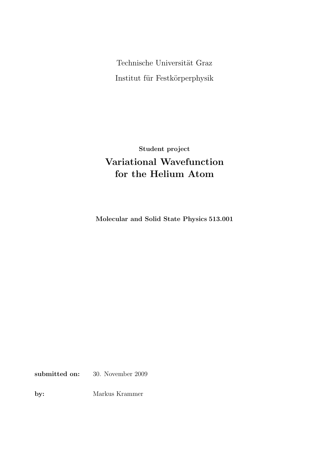Technische Universität Graz Institut für Festkörperphysik

Student project Variational Wavefunction for the Helium Atom

Molecular and Solid State Physics 513.001

submitted on: 30. November 2009

by: Markus Krammer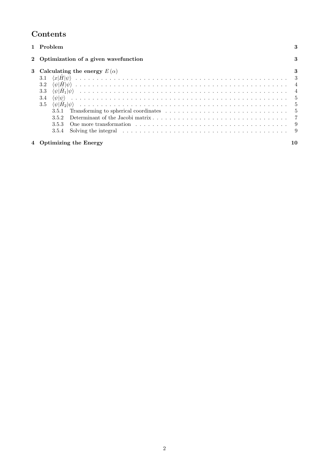# Contents

| Problem                                                                                                                  | 3              |
|--------------------------------------------------------------------------------------------------------------------------|----------------|
| 2 Optimization of a given wavefunction                                                                                   | 3              |
| 3 Calculating the energy $E(\alpha)$                                                                                     | 3              |
|                                                                                                                          |                |
|                                                                                                                          |                |
| 3.3                                                                                                                      | $\overline{4}$ |
| 3.4                                                                                                                      |                |
| 3.5                                                                                                                      |                |
| Transforming to spherical coordinates $\ldots \ldots \ldots \ldots \ldots \ldots \ldots \ldots \ldots \ldots 5$<br>3.5.1 |                |
| 3.5.2                                                                                                                    |                |
| 3.5.3                                                                                                                    |                |
| 3.5.4                                                                                                                    |                |
| <b>Optimizing the Energy</b>                                                                                             | 10             |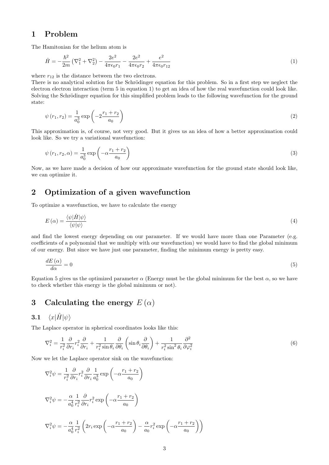## 1 Problem

The Hamitonian for the helium atom is

$$
\hat{H} = -\frac{\hbar^2}{2m} \left( \nabla_1^2 + \nabla_2^2 \right) - \frac{2e^2}{4\pi\epsilon_0 r_1} - \frac{2e^2}{4\pi\epsilon_0 r_2} + \frac{e^2}{4\pi\epsilon_0 r_{12}} \tag{1}
$$

where  $r_{12}$  is the distance between the two electrons.

There is no analytical solution for the Schrödinger equation for this problem. So in a first step we neglect the electron electron interaction (term 5 in equation 1) to get an idea of how the real wavefunction could look like. Solving the Schrödinger equation for this simplified problem leads to the following wavefunction for the ground state:

$$
\psi(r_1, r_2) = \frac{1}{a_0^3} \exp\left(-2\frac{r_1 + r_2}{a_0}\right) \tag{2}
$$

This approximation is, of course, not very good. But it gives us an idea of how a better approximation could look like. So we try a variational wavefunction:

$$
\psi(r_1, r_2, \alpha) = \frac{1}{a_0^3} \exp\left(-\alpha \frac{r_1 + r_2}{a_0}\right) \tag{3}
$$

Now, as we have made a decision of how our approximate wavefunction for the ground state should look like, we can optimize it.

## 2 Optimization of a given wavefunction

To optimize a wavefunction, we have to calculate the energy

$$
E\left(\alpha\right) = \frac{\langle\psi|\hat{H}|\psi\rangle}{\langle\psi|\psi\rangle} \tag{4}
$$

and find the lowest energy depending on our parameter. If we would have more than one Parameter (e.g. coefficients of a polynomial that we multiply with our wavefunction) we would have to find the global minimum of our energy. But since we have just one parameter, finding the minimum energy is pretty easy.

$$
\frac{dE\left(\alpha\right)}{d\alpha} = 0\tag{5}
$$

Equation 5 gives us the optimized parameter  $\alpha$  (Energy must be the global minimum for the best  $\alpha$ , so we have to check whether this energy is the global minimum or not).

# 3 Calculating the energy  $E(\alpha)$

## 3.1  $\langle x|\hat{H}|\psi\rangle$

The Laplace operator in spherical coordinates looks like this:

$$
\nabla_i^2 = \frac{1}{r_i^2} \frac{\partial}{\partial r_i} r_i^2 \frac{\partial}{\partial r_i} + \frac{1}{r_i^2 \sin \theta_i} \frac{\partial}{\partial \theta_i} \left( \sin \theta_i \frac{\partial}{\partial \theta_i} \right) + \frac{1}{r_i^2 \sin^2 \theta_i} \frac{\partial^2}{\partial \varphi_i^2}
$$
(6)

Now we let the Laplace operator sink on the wavefunction:

$$
\nabla_i^2 \psi = \frac{1}{r_i^2} \frac{\partial}{\partial r_i} r_i^2 \frac{\partial}{\partial r_i} \frac{1}{a_0^3} \exp\left(-\alpha \frac{r_1 + r_2}{a_0}\right)
$$
  

$$
\nabla_i^2 \psi = -\frac{\alpha}{a_0^4} \frac{1}{r_i^2} \frac{\partial}{\partial r_i} r_i^2 \exp\left(-\alpha \frac{r_1 + r_2}{a_0}\right)
$$
  

$$
\nabla_i^2 \psi = -\frac{\alpha}{a_0^4} \frac{1}{r_i^2} \left(2r_i \exp\left(-\alpha \frac{r_1 + r_2}{a_0}\right) - \frac{\alpha}{a_0} r_i^2 \exp\left(-\alpha \frac{r_1 + r_2}{a_0}\right)\right)
$$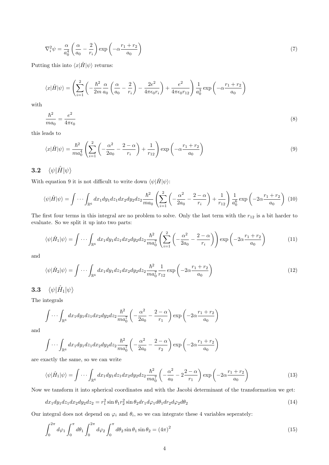$$
\nabla_i^2 \psi = \frac{\alpha}{a_0^4} \left( \frac{\alpha}{a_0} - \frac{2}{r_i} \right) \exp\left( -\alpha \frac{r_1 + r_2}{a_0} \right) \tag{7}
$$

Putting this into  $\langle x|\hat{H}|\psi\rangle$  returns:

$$
\langle x|\hat{H}|\psi\rangle = \left(\sum_{i=1}^{2} \left(-\frac{\hbar^2}{2m} \frac{\alpha}{a_0} \left(\frac{\alpha}{a_0} - \frac{2}{r_i}\right) - \frac{2e^2}{4\pi\epsilon_0 r_i}\right) + \frac{e^2}{4\pi\epsilon_0 r_{12}}\right) \frac{1}{a_0^3} \exp\left(-\alpha \frac{r_1 + r_2}{a_0}\right)
$$

with

$$
\frac{\hbar^2}{ma_0} = \frac{e^2}{4\pi\epsilon_0} \tag{8}
$$

this leads to

$$
\langle x|\hat{H}|\psi\rangle = \frac{\hbar^2}{ma_0^4} \left(\sum_{i=1}^2 \left(-\frac{\alpha^2}{2a_0} - \frac{2-\alpha}{r_i}\right) + \frac{1}{r_{12}}\right) \exp\left(-\alpha \frac{r_1 + r_2}{a_0}\right) \tag{9}
$$

# 3.2  $\langle \psi | \hat{H} | \psi \rangle$

With equation 9 it is not difficult to write down  $\langle \psi | \hat{H} | \psi \rangle$ :

$$
\langle \psi | \hat{H} | \psi \rangle = \int \cdots \int_{\mathbb{R}^6} dx_1 dy_1 dz_1 dx_2 dy_2 dz_2 \frac{\hbar^2}{ma_0} \left( \sum_{i=1}^2 \left( -\frac{\alpha^2}{2a_0} - \frac{2-\alpha}{r_i} \right) + \frac{1}{r_{12}} \right) \frac{1}{a_0^6} \exp\left( -2\alpha \frac{r_1 + r_2}{a_0} \right) (10)
$$

The first four terms in this integral are no problem to solve. Only the last term with the  $r_{12}$  is a bit harder to evaluate. So we split it up into two parts:

$$
\langle \psi | \hat{H}_1 | \psi \rangle = \int \cdots \int_{\mathbb{R}^6} dx_1 dy_1 dz_1 dx_2 dy_2 dz_2 \frac{\hbar^2}{ma_0^7} \left( \sum_{i=1}^2 \left( -\frac{\alpha^2}{2a_0} - \frac{2-\alpha}{r_i} \right) \right) \exp\left( -2\alpha \frac{r_1 + r_2}{a_0} \right) \tag{11}
$$

and

$$
\langle \psi | \hat{H}_2 | \psi \rangle = \int \cdots \int_{\mathbb{R}^6} dx_1 dy_1 dz_1 dx_2 dy_2 dz_2 \frac{\hbar^2}{ma_0^7} \frac{1}{r_{12}} \exp\left(-2\alpha \frac{r_1 + r_2}{a_0}\right) \tag{12}
$$

 $\mathbf{3.3} \quad \langle \psi | \hat{H}_1 | \psi \rangle$ 

The integrals

$$
\int \cdots \int_{\mathbb{R}^6} dx_1 dy_1 dz_1 dx_2 dy_2 dz_2 \frac{\hbar^2}{ma_0^7} \left( -\frac{\alpha^2}{2a_0} - \frac{2-\alpha}{r_1} \right) \exp\left( -2\alpha \frac{r_1 + r_2}{a_0} \right)
$$

and

$$
\int \cdots \int_{\mathbb{R}^6} dx_1 dy_1 dz_1 dx_2 dy_2 dz_2 \frac{\hbar^2}{ma_0^7} \left( -\frac{\alpha^2}{2a_0} - \frac{2-\alpha}{r_2} \right) \exp\left( -2\alpha \frac{r_1 + r_2}{a_0} \right)
$$

are exactly the same, so we can write

$$
\langle \psi | \hat{H}_1 | \psi \rangle = \int \cdots \int_{\mathbb{R}^6} dx_1 dy_1 dz_1 dx_2 dy_2 dz_2 \frac{\hbar^2}{ma_0^7} \left( -\frac{\alpha^2}{a_0} - 2\frac{2-\alpha}{r_1} \right) \exp\left( -2\alpha \frac{r_1 + r_2}{a_0} \right) \tag{13}
$$

Now we tansform it into spherical coordinates and with the Jacobi determinant of the transformation we get:

$$
dx_1 dy_1 dz_1 dx_2 dy_2 dz_2 = r_1^2 \sin \theta_1 r_2^2 \sin \theta_2 dr_1 d\varphi_1 d\theta_1 dr_2 d\varphi_2 d\theta_2
$$
\n(14)

Our integral does not depend on  $\varphi_i$  and  $\theta_i$ , so we can integrate these 4 variables seperately:

$$
\int_0^{2\pi} d\varphi_1 \int_0^{\pi} d\theta_1 \int_0^{2\pi} d\varphi_2 \int_0^{\pi} d\theta_2 \sin \theta_1 \sin \theta_2 = (4\pi)^2
$$
 (15)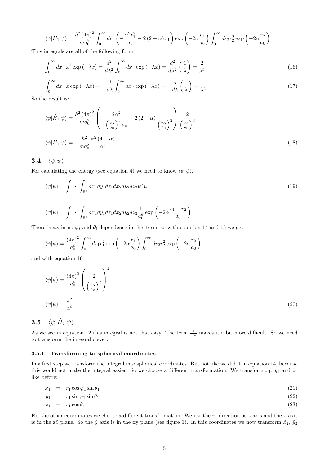$$
\langle \psi | \hat{H}_1 | \psi \rangle = \frac{\hbar^2 \left( 4\pi \right)^2}{m a_0^7} \int_0^\infty dr_1 \left( -\frac{\alpha^2 r_1^2}{a_0} - 2 \left( 2 - \alpha \right) r_1 \right) \exp \left( -2\alpha \frac{r_1}{a_0} \right) \int_0^\infty dr_2 r_2^2 \exp \left( -2\alpha \frac{r_2}{a_0} \right)
$$

This integrals are all of the following form:

$$
\int_0^\infty dx \cdot x^2 \exp(-\lambda x) = \frac{d^2}{d\lambda^2} \int_0^\infty dx \cdot \exp(-\lambda x) = \frac{d^2}{d\lambda^2} \left(\frac{1}{\lambda}\right) = \frac{2}{\lambda^3} \tag{16}
$$

$$
\int_0^\infty dx \cdot x \exp(-\lambda x) = -\frac{d}{d\lambda} \int_0^\infty dx \cdot \exp(-\lambda x) = -\frac{d}{d\lambda} \left(\frac{1}{\lambda}\right) = \frac{1}{\lambda^2}
$$
\n(17)

So the result is:

$$
\langle \psi | \hat{H}_1 | \psi \rangle = \frac{\hbar^2 (4\pi)^2}{m a_0^7} \left( -\frac{2\alpha^2}{\left(\frac{2\alpha}{a_0}\right)^3 a_0} - 2(2-\alpha) \frac{1}{\left(\frac{2\alpha}{a_0}\right)^2} \right) \frac{2}{\left(\frac{2\alpha}{a_0}\right)^3}
$$

$$
\langle \psi | \hat{H}_1 | \psi \rangle = -\frac{\hbar^2}{m a_0^2} \frac{\pi^2 (4-\alpha)}{\alpha^5} \tag{18}
$$

## 3.4  $\langle \psi | \psi \rangle$

For calculating the energy (see equation 4) we need to know  $\langle \psi | \psi \rangle$ .

$$
\langle \psi | \psi \rangle = \int \cdots \int_{\mathbb{R}^6} dx_1 dy_1 dz_1 dx_2 dy_2 dz_2 \psi^* \psi
$$
\n
$$
\int \int \int \int \frac{1}{x_1 + x_2} dx_1 dx_2 dy_2 dz_1 \psi^* \psi
$$
\n(19)

$$
\langle \psi | \psi \rangle = \int \cdots \int_{\mathbb{R}^6} dx_1 dy_1 dz_1 dx_2 dy_2 dz_2 \frac{1}{a_0^6} \exp \left( -2\alpha \frac{r_1 + r_2}{a_0} \right)
$$

There is again no  $\varphi_i$  and  $\theta_i$  dependence in this term, so with equation 14 and 15 we get

$$
\langle \psi | \psi \rangle = \frac{(4\pi)^2}{a_0^6} \int_0^\infty dr_1 r_1^2 \exp\left(-2\alpha \frac{r_1}{a_0}\right) \int_0^\infty dr_2 r_2^2 \exp\left(-2\alpha \frac{r_2}{a_0}\right)
$$

and with equation 16

$$
\langle \psi | \psi \rangle = \frac{(4\pi)^2}{a_0^6} \left( \frac{2}{\left(\frac{2\alpha}{a_0}\right)^3} \right)^2
$$
  

$$
\langle \psi | \psi \rangle = \frac{\pi^2}{\alpha^6}
$$
 (20)

 $\mathbf{3.5}\quad \langle \psi|\hat{H}_{2}|\psi\rangle$ 

As we see in equation 12 this integral is not that easy. The term  $\frac{1}{r_{12}}$  makes it a bit more difficult. So we need to transform the integral clever.

#### 3.5.1 Transforming to spherical coordinates

In a first step we transform the integral into spherical coordinates. But not like we did it in equation 14, because this would not make the integral easier. So we choose a different transformation. We transform  $x_1$ ,  $y_1$  and  $z_1$ like before:

$$
x_1 = r_1 \cos \varphi_1 \sin \theta_1 \tag{21}
$$

$$
y_1 = r_1 \sin \varphi_1 \sin \theta_1 \tag{22}
$$

$$
z_1 = r_1 \cos \theta_1 \tag{23}
$$

For the other coordinates we choose a different transformation. We use the  $r_1$  direction as  $\tilde{z}$  axis and the  $\tilde{x}$  axis is in the z $\tilde{z}$  plane. So the  $\tilde{y}$  axis is in the xy plane (see figure 1). In this coordinates we now transform  $\tilde{x}_2$ ,  $\tilde{y}_2$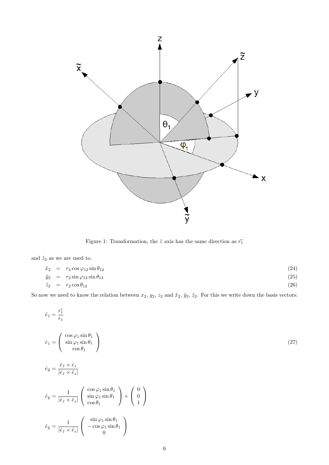

Figure 1: Transformation, the  $\tilde{z}$  axis has the same direction as  $\vec{r_1}$ 

and  $\tilde{z}_2$  as we are used to.

$$
\begin{array}{rcl}\n\tilde{x}_2 & = & r_2 \cos \varphi_{12} \sin \theta_{12} \\
\tilde{y}_2 & = & r_2 \sin \varphi_{12} \sin \theta_{12} \\
\tilde{z}_2 & = & r_2 \cos \theta_{12}\n\end{array}\n\tag{24}
$$

So now we need to know the relation between  $x_2, y_2, z_2$  and  $\tilde{x}_2, \tilde{y}_2, \tilde{z}_2$ . For this we write down the basis vectors:

$$
\hat{e}_{\tilde{z}} = \frac{\vec{r_1}}{r_1}
$$
\n
$$
\hat{e}_{\tilde{z}} = \begin{pmatrix}\n\cos \varphi_1 \sin \theta_1 \\
\sin \varphi_1 \sin \theta_1 \\
\cos \theta_1\n\end{pmatrix}
$$
\n
$$
\hat{e}_{\tilde{y}} = \frac{\hat{e}_{\tilde{z}} \times \hat{e}_{z}}{|\hat{e}_{\tilde{z}} \times \hat{e}_{z}|}
$$
\n
$$
\hat{e}_{\tilde{y}} = \frac{1}{|\hat{e}_{\tilde{z}} \times \hat{e}_{z}|} \begin{pmatrix}\n\cos \varphi_1 \sin \theta_1 \\
\sin \varphi_1 \sin \theta_1 \\
\cos \theta_1\n\end{pmatrix} \times \begin{pmatrix} 0 \\
0 \\
1\n\end{pmatrix}
$$
\n
$$
\hat{e}_{\tilde{y}} = \frac{1}{|\hat{e}_{\tilde{z}} \times \hat{e}_{z}|} \begin{pmatrix} \sin \varphi_1 \sin \theta_1 \\
-\cos \varphi_1 \sin \theta_1 \\
0\n\end{pmatrix}
$$
\n(27)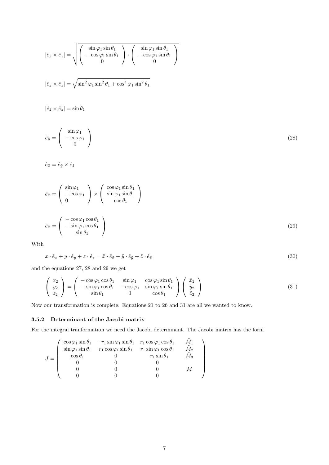$$
\left|\hat{e}_{\tilde{z}} \times \hat{e}_{z}\right| = \sqrt{\begin{pmatrix} \sin \varphi_{1} \sin \theta_{1} \\ -\cos \varphi_{1} \sin \theta_{1} \\ 0 \end{pmatrix} \cdot \begin{pmatrix} \sin \varphi_{1} \sin \theta_{1} \\ -\cos \varphi_{1} \sin \theta_{1} \\ 0 \end{pmatrix}}
$$

$$
\left|\hat{e}_{\tilde{z}} \times \hat{e}_{z}\right| = \sqrt{\sin^{2} \varphi_{1} \sin^{2} \theta_{1} + \cos^{2} \varphi_{1} \sin^{2} \theta_{1}}
$$

$$
\left|\hat{e}_{\tilde{z}} \times \hat{e}_{z}\right| = \sin \theta_{1}
$$

$$
\hat{e}_{\tilde{y}} = \begin{pmatrix} \sin \varphi_{1} \\ -\cos \varphi_{1} \\ 0 \end{pmatrix}
$$

$$
\hat{e}_{\tilde{x}} = \hat{e}_{\tilde{y}} \times \hat{e}_{\tilde{z}}
$$
(28)

$$
\hat{e}_{\tilde{x}} = \begin{pmatrix} \sin \varphi_1 \\ -\cos \varphi_1 \\ 0 \end{pmatrix} \times \begin{pmatrix} \cos \varphi_1 \sin \theta_1 \\ \sin \varphi_1 \sin \theta_1 \\ \cos \theta_1 \end{pmatrix}
$$

$$
\hat{e}_{\tilde{x}} = \begin{pmatrix} -\cos \varphi_1 \cos \theta_1 \\ -\sin \varphi_1 \cos \theta_1 \\ \sin \theta_1 \end{pmatrix}
$$
(29)

With

$$
x \cdot \hat{e}_x + y \cdot \hat{e}_y + z \cdot \hat{e}_z = \tilde{x} \cdot \hat{e}_{\tilde{x}} + \tilde{y} \cdot \hat{e}_{\tilde{y}} + \tilde{z} \cdot \hat{e}_{\tilde{z}}
$$
\n(30)

and the equations 27, 28 and 29 we get

$$
\begin{pmatrix} x_2 \\ y_2 \\ z_2 \end{pmatrix} = \begin{pmatrix} -\cos\varphi_1 \cos\theta_1 & \sin\varphi_1 & \cos\varphi_1 \sin\theta_1 \\ -\sin\varphi_1 \cos\theta_1 & -\cos\varphi_1 & \sin\varphi_1 \sin\theta_1 \\ \sin\theta_1 & 0 & \cos\theta_1 \end{pmatrix} \begin{pmatrix} \tilde{x}_2 \\ \tilde{y}_2 \\ \tilde{z}_2 \end{pmatrix}
$$
(31)

Now our transformation is complete. Equations 21 to 26 and 31 are all we wanted to know.

### 3.5.2 Determinant of the Jacobi matrix

For the integral tranformation we need the Jacobi determinant. The Jacobi matrix has the form

|       |                | $\cos\varphi_1 \sin\theta_1$ $-r_1 \sin\varphi_1 \sin\theta_1$ $r_1 \cos\varphi_1 \cos\theta_1$      |                      |       |  |
|-------|----------------|------------------------------------------------------------------------------------------------------|----------------------|-------|--|
|       |                | $\sin \varphi_1 \sin \theta_1$ $r_1 \cos \varphi_1 \sin \theta_1$ $r_1 \sin \varphi_1 \cos \theta_1$ |                      | $M_2$ |  |
| $J =$ | $\cos\theta_1$ |                                                                                                      | $-r_1 \sin \theta_1$ | $M_3$ |  |
|       |                |                                                                                                      |                      |       |  |
|       |                |                                                                                                      |                      |       |  |
|       |                |                                                                                                      |                      |       |  |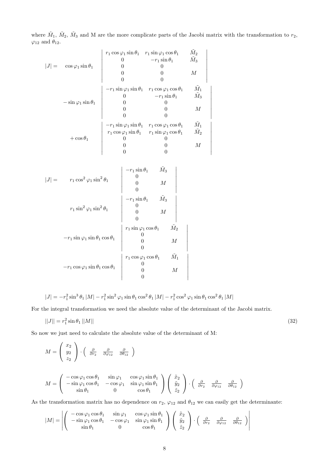where  $\tilde{M}_1$ ,  $\tilde{M}_2$ ,  $\tilde{M}_3$  and M are the more complicate parts of the Jacobi matrix with the transformation to  $r_2$ ,  $\varphi_{12}$  and  $\theta_{12}$ .

> $\bigg|$  $\overline{\phantom{a}}$  $\overline{\phantom{a}}$  $\overline{\phantom{a}}$  $\overline{\phantom{a}}$  $\overline{\phantom{a}}$  $\overline{\phantom{a}}$  $\overline{\phantom{a}}$  $\overline{\phantom{a}}$  $\vert$

> $\overline{\phantom{a}}$  $\overline{\phantom{a}}$  $\overline{\phantom{a}}$  $\overline{\phantom{a}}$  $\overline{\phantom{a}}$  $\overline{\phantom{a}}$  $\overline{\phantom{a}}$  $\overline{\phantom{a}}$  $\overline{\phantom{a}}$  $\vert$

$$
|J| = \cos \varphi_1 \sin \theta_1 \quad \begin{vmatrix} r_1 \cos \varphi_1 \sin \theta_1 & r_1 \sin \varphi_1 \cos \theta_1 & \tilde{M}_2 \\ 0 & -r_1 \sin \theta_1 & \tilde{M}_3 \\ 0 & 0 & 0 \\ 0 & 0 & M \\ 0 & 0 & 0 \end{vmatrix}
$$
  
\n
$$
-\sin \varphi_1 \sin \theta_1 \quad \begin{vmatrix} -r_1 \sin \varphi_1 \sin \theta_1 & r_1 \cos \varphi_1 \cos \theta_1 & \tilde{M}_1 \\ 0 & -r_1 \sin \theta_1 & \tilde{M}_3 \\ 0 & 0 & 0 \\ 0 & 0 & M \\ 0 & 0 & 0 \end{vmatrix}
$$
  
\n
$$
+ \cos \theta_1 \quad \begin{vmatrix} -r_1 \sin \varphi_1 \sin \theta_1 & r_1 \cos \varphi_1 \cos \theta_1 & \tilde{M}_1 \\ r_1 \cos \varphi_1 \sin \theta_1 & r_1 \sin \varphi_1 \cos \theta_1 & \tilde{M}_2 \\ 0 & 0 & 0 \\ 0 & 0 & M \\ 0 & 0 & 0 \end{vmatrix}
$$
  
\n
$$
|J| = r_1 \cos^2 \varphi_1 \sin^2 \theta_1 \quad \begin{vmatrix} -r_1 \sin \theta_1 & \tilde{M}_3 \\ 0 & M \\ 0 & M \\ 0 & M \\ 0 & M \end{vmatrix}
$$
  
\n
$$
-r_1 \sin \varphi_1 \cos \theta_1 \quad \begin{vmatrix} -r_1 \sin \theta_1 & \tilde{M}_3 \\ 0 & M \\ 0 & M \\ 0 & 0 \end{vmatrix}
$$
  
\n
$$
-r_1 \sin \varphi_1 \cos \theta_1 \quad \begin{vmatrix} r_1 \cos \varphi_1 \cos \theta_1 & \tilde{M}_1 \\ 0 & M \\ 0 & M \\ 0 & M \end{vmatrix}
$$
  
\n
$$
-r_1 \cos \varphi_1 \sin \theta_1 \cos \theta_1 \quad \begin{vmatrix} r_1 \cos \varphi_1 \cos \theta_1 & \tilde{M}_1 \\ 0 & M \\ 0 & M \\ 0 & M \end{vmatrix}
$$

$$
|J|=-r_1^2\sin^3\theta_1\left|M\right|-r_1^2\sin^2\varphi_1\sin\theta_1\cos^2\theta_1\left|M\right|-r_1^2\cos^2\varphi_1\sin\theta_1\cos^2\theta_1\left|M\right|
$$

For the integral transformation we need the absolute value of the determinant of the Jacobi matrix.

$$
||J|| = r_1^2 \sin \theta_1 ||M|| \tag{32}
$$

So now we just need to calculate the absolute value of the determinant of M:

$$
M = \begin{pmatrix} x_2 \\ y_2 \\ z_2 \end{pmatrix} \cdot \begin{pmatrix} \frac{\partial}{\partial r_2} & \frac{\partial}{\partial \varphi_{12}} & \frac{\partial}{\partial \theta_{12}} \\ \frac{\partial}{\partial \varphi_{12}} & \frac{\partial}{\partial \theta_{12}} \end{pmatrix}
$$
  

$$
M = \begin{pmatrix} -\cos\varphi_1 \cos\theta_1 & \sin\varphi_1 & \cos\varphi_1 \sin\theta_1 \\ -\sin\varphi_1 \cos\theta_1 & -\cos\varphi_1 & \sin\varphi_1 \sin\theta_1 \\ \sin\theta_1 & 0 & \cos\theta_1 \end{pmatrix} \begin{pmatrix} \tilde{x}_2 \\ \tilde{y}_2 \\ \tilde{z}_2 \end{pmatrix} \cdot \begin{pmatrix} \frac{\partial}{\partial r_2} & \frac{\partial}{\partial \varphi_{12}} & \frac{\partial}{\partial \theta_{12}} \end{pmatrix}
$$

As the transformation matrix has no dependence on  $r_2$ ,  $\varphi_{12}$  and  $\theta_{12}$  we can easily get the determinante:

$$
|M| = \left| \begin{pmatrix} -\cos\varphi_1\cos\theta_1 & \sin\varphi_1 & \cos\varphi_1\sin\theta_1 \\ -\sin\varphi_1\cos\theta_1 & -\cos\varphi_1 & \sin\varphi_1\sin\theta_1 \\ \sin\theta_1 & 0 & \cos\theta_1 \end{pmatrix} \begin{pmatrix} \tilde{x}_2 \\ \tilde{y}_2 \\ \tilde{z}_2 \end{pmatrix} \cdot \begin{pmatrix} \frac{\partial}{\partial r_2} & \frac{\partial}{\partial \varphi_{12}} & \frac{\partial}{\partial \theta_{12}} \\ \end{pmatrix} \right|
$$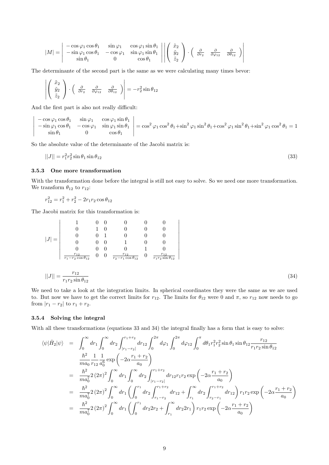$$
|M| = \begin{vmatrix} -\cos\varphi_1\cos\theta_1 & \sin\varphi_1 & \cos\varphi_1\sin\theta_1 \\ -\sin\varphi_1\cos\theta_1 & -\cos\varphi_1 & \sin\varphi_1\sin\theta_1 \\ \sin\theta_1 & 0 & \cos\theta_1 \end{vmatrix} \cdot \begin{pmatrix} \tilde{x}_2 \\ \tilde{y}_2 \\ \tilde{z}_2 \end{pmatrix} \cdot \begin{pmatrix} \frac{\partial}{\partial r_2} & \frac{\partial}{\partial \varphi_{12}} & \frac{\partial}{\partial \theta_{12}} \\ \end{pmatrix}
$$

The determinante of the second part is the same as we were calculating many times bevor:

$$
\left| \left( \begin{array}{c} \tilde{x}_2 \\ \tilde{y}_2 \\ \tilde{z}_2 \end{array} \right) \cdot \left( \begin{array}{cc} \frac{\partial}{\partial r_2} & \frac{\partial}{\partial \varphi_{12}} & \frac{\partial}{\partial \theta_{12}} \end{array} \right) \right| = -r_2^2 \sin \theta_{12}
$$

And the first part is also not really difficult:

 $\overline{\phantom{a}}$  $\overline{\phantom{a}}$  $\mid$ I  $\overline{\phantom{a}}$  $\mid$ 

$$
\begin{vmatrix}\n-\cos\varphi_1\cos\theta_1 & \sin\varphi_1 & \cos\varphi_1\sin\theta_1 \\
-\sin\varphi_1\cos\theta_1 & -\cos\varphi_1 & \sin\varphi_1\sin\theta_1 \\
\sin\theta_1 & 0 & \cos\theta_1\n\end{vmatrix} = \cos^2\varphi_1\cos^2\theta_1 + \sin^2\varphi_1\sin^2\theta_1 + \cos^2\varphi_1\sin^2\theta_1 + \sin^2\varphi_1\cos^2\theta_1 = 1
$$

So the absolute value of the determinante of the Jacobi matrix is:

$$
||J|| = r_1^2 r_2^2 \sin \theta_1 \sin \theta_{12} \tag{33}
$$

#### 3.5.3 One more transformation

With the transformation done before the integral is still not easy to solve. So we need one more transformation. We transform  $\theta_{12}$  to  $r_{12}$ :

$$
r_{12}^2 = r_1^2 + r_2^2 - 2r_1r_2\cos\theta_{12}
$$

The Jacobi matrix for this transformation is:

$$
|J| = \begin{vmatrix}\n1 & 0 & 0 & 0 & 0 & 0 \\
0 & 1 & 0 & 0 & 0 & 0 \\
0 & 0 & 1 & 0 & 0 & 0 \\
0 & 0 & 0 & 1 & 0 & 0 \\
0 & 0 & 0 & 0 & 1 & 0 \\
\frac{r_{12}}{r_1 - r_2 \cos \theta_{12}} & 0 & 0 & \frac{r_{12}}{r_2 - r_1 \cos \theta_{12}} & 0 & \frac{r_{12}}{r_1 r_2 \sin \theta_{12}}\n\end{vmatrix}
$$

$$
||J|| = \frac{r_{12}}{r_1 r_2 \sin \theta_{12}}\tag{34}
$$

We need to take a look at the integration limits. In spherical coordinates they were the same as we are used to. But now we have to get the correct limits for  $r_{12}$ . The limits for  $\theta_{12}$  were 0 and  $\pi$ , so  $r_{12}$  now needs to go from  $|r_1 - r_2|$  to  $r_1 + r_2$ .

#### 3.5.4 Solving the integral

With all these transformations (equations 33 and 34) the integral finally has a form that is easy to solve:

$$
\langle \psi | \hat{H}_2 | \psi \rangle = \int_0^\infty dr_1 \int_0^\infty dr_2 \int_{|r_1 - r_2|}^{r_1 + r_2} dr_{12} \int_0^{2\pi} d\varphi_1 \int_0^{2\pi} d\varphi_{12} \int_0^{\pi} d\theta_1 r_1^2 r_2^2 \sin \theta_1 \sin \theta_{12} \frac{r_{12}}{r_1 r_2 \sin \theta_{12}} \n\frac{\hbar^2}{ma_0} \frac{1}{r_{12}} \frac{1}{a_0^6} \exp\left(-2\alpha \frac{r_1 + r_2}{a_0}\right) \n= \frac{\hbar^2}{ma_0^7} 2(2\pi)^2 \int_0^\infty dr_1 \int_0^\infty dr_2 \int_{|r_1 - r_2|}^{r_1 + r_2} dr_{12} r_1 r_2 \exp\left(-2\alpha \frac{r_1 + r_2}{a_0}\right) \n= \frac{\hbar^2}{ma_0^7} 2(2\pi)^2 \int_0^\infty dr_1 \left(\int_0^{r_1} dr_2 \int_{r_1 - r_2}^{r_1 + r_2} dr_{12} + \int_{r_1}^\infty dr_2 \int_{r_2 - r_1}^{r_1 + r_2} dr_{12}\right) r_1 r_2 \exp\left(-2\alpha \frac{r_1 + r_2}{a_0}\right) \n= \frac{\hbar^2}{ma_0^7} 2(2\pi)^2 \int_0^\infty dr_1 \left(\int_0^{r_1} dr_2 2r_2 + \int_{r_1}^\infty dr_2 2r_1\right) r_1 r_2 \exp\left(-2\alpha \frac{r_1 + r_2}{a_0}\right)
$$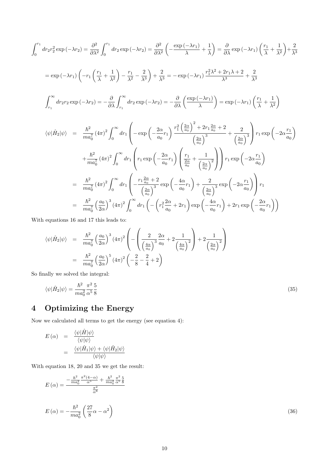$$
\int_{0}^{r_{1}} dr_{2}r_{2}^{2} \exp(-\lambda r_{2}) = \frac{\partial^{2}}{\partial \lambda^{2}} \int_{0}^{r_{1}} dr_{2} \exp(-\lambda r_{2}) = \frac{\partial^{2}}{\partial \lambda^{2}} \left( -\frac{\exp(-\lambda r_{1})}{\lambda} + \frac{1}{\lambda} \right) = \frac{\partial}{\partial \lambda} \exp(-\lambda r_{1}) \left( \frac{r_{1}}{\lambda} + \frac{1}{\lambda^{2}} \right) + \frac{2}{\lambda^{3}}
$$
  
\n
$$
= \exp(-\lambda r_{1}) \left( -r_{1} \left( \frac{r_{1}}{\lambda} + \frac{1}{\lambda^{2}} \right) - \frac{r_{1}}{\lambda^{2}} - \frac{2}{\lambda^{3}} \right) + \frac{2}{\lambda^{3}} = -\exp(-\lambda r_{1}) \frac{r_{1}^{2} \lambda^{2} + 2r_{1} \lambda + 2}{\lambda^{3}} + \frac{2}{\lambda^{3}}
$$
  
\n
$$
\int_{r_{1}}^{\infty} dr_{2}r_{2} \exp(-\lambda r_{2}) = -\frac{\partial}{\partial \lambda} \int_{r_{1}}^{\infty} dr_{2} \exp(-\lambda r_{2}) = -\frac{\partial}{\partial \lambda} \left( \frac{\exp(-\lambda r_{1})}{\lambda} \right) = \exp(-\lambda r_{1}) \left( \frac{r_{1}}{\lambda} + \frac{1}{\lambda^{2}} \right)
$$
  
\n
$$
\langle \psi | \hat{H}_{2} | \psi \rangle = \frac{\hbar^{2}}{ma_{0}^{7}} (4\pi)^{2} \int_{0}^{\infty} dr_{1} \left( -\exp\left(-\frac{2\alpha}{a_{0}} r_{1}\right) \frac{r_{1}^{2} \left(\frac{2\alpha}{a_{0}}\right)^{2} + 2r_{1} \frac{2\alpha}{a_{0}} + 2}{\left(\frac{2\alpha}{a_{0}}\right)^{3}} + \frac{2}{\left(\frac{2\alpha}{a_{0}}\right)^{3}} \right) r_{1} \exp\left(-2\alpha \frac{r_{1}}{a_{0}}\right)
$$
  
\n
$$
+ \frac{\hbar^{2}}{ma_{0}^{7}} (4\pi)^{2} \int_{0}^{\infty} dr_{1} \left( r_{1} \exp\left(-\frac{2\alpha}{a_{0}} r_{1
$$

With equations 16 and 17 this leads to:

$$
\langle \psi | \hat{H}_2 | \psi \rangle = \frac{\hbar^2}{ma_0^7} \left( \frac{a_0}{2\alpha} \right)^3 (4\pi)^2 \left( -\left( \frac{2}{\left( \frac{4\alpha}{a_0} \right)^3} \frac{2\alpha}{a_0} + 2 \frac{1}{\left( \frac{4\alpha}{a_0} \right)^2} \right) + 2 \frac{1}{\left( \frac{2\alpha}{a_0} \right)^2} \right)
$$
  
=  $\frac{\hbar^2}{ma_0^7} \left( \frac{a_0}{2\alpha} \right)^5 (4\pi)^2 \left( -\frac{2}{8} - \frac{2}{4} + 2 \right)$ 

So finally we solved the integral:

$$
\langle \psi | \hat{H}_2 | \psi \rangle = \frac{\hbar^2}{ma_0^2} \frac{\pi^2}{\alpha^5} \frac{5}{8}
$$
\n<sup>(35)</sup>

# 4 Optimizing the Energy

Now we calculated all terms to get the energy (see equation 4):

$$
E(\alpha) = \frac{\langle \psi | \hat{H} | \psi \rangle}{\langle \psi | \psi \rangle} = \frac{\langle \psi | \hat{H}_1 | \psi \rangle + \langle \psi | \hat{H}_2 | \psi \rangle}{\langle \psi | \psi \rangle}
$$

With equation 18, 20 and 35 we get the result:

$$
E(\alpha) = \frac{-\frac{\hbar^2}{ma_0^2} \frac{\pi^2 (4-\alpha)}{\alpha^5} + \frac{\hbar^2}{ma_0^2} \frac{\pi^2}{\alpha^5} \frac{5}{8}}{\frac{\pi^2}{\alpha^6}}
$$
  

$$
E(\alpha) = -\frac{\hbar^2}{ma_0^2} \left(\frac{27}{8}\alpha - \alpha^2\right)
$$
 (36)